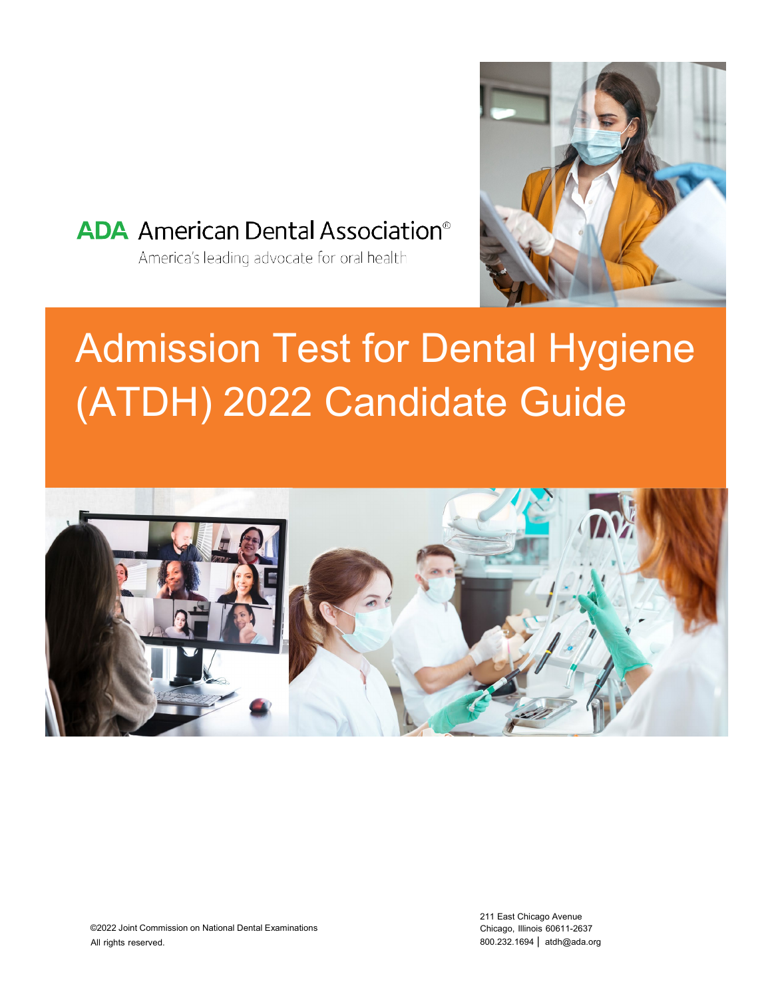

### **ADA** American Dental Association<sup>®</sup>

America's leading advocate for oral health

# Admission Test for Dental Hygiene (ATDH) 2022 Candidate Guide

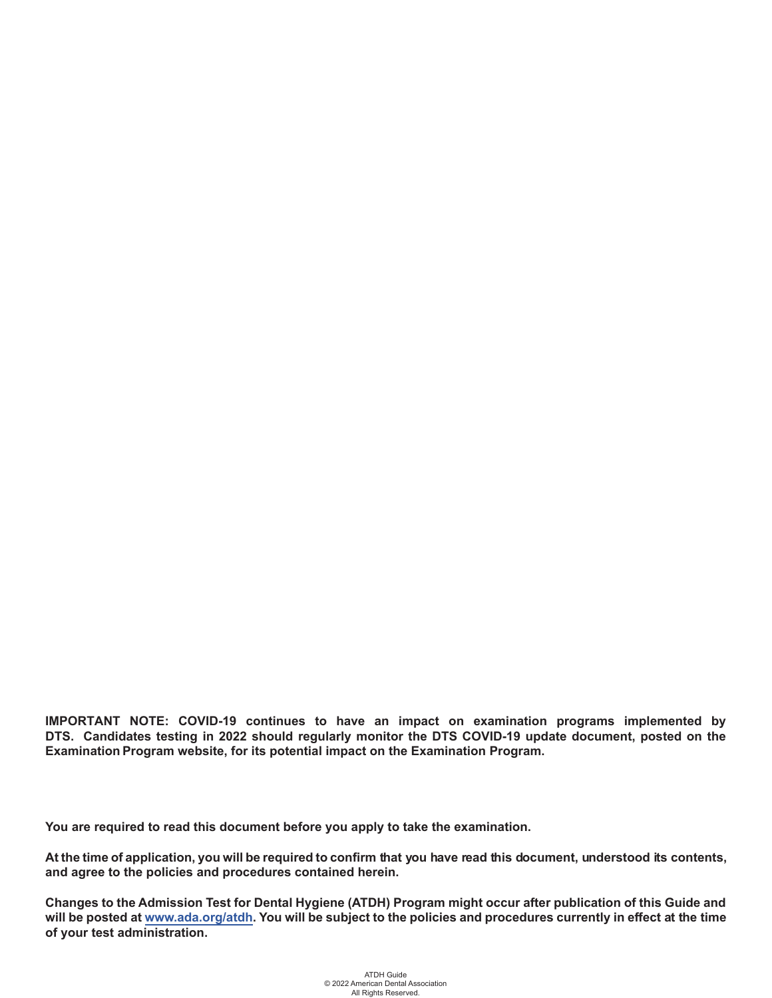**IMPORTANT NOTE: COVID-19 continues to have an impact on examination programs implemented by DTS. Candidates testing in 2022 should regularly monitor the DTS COVID-19 update document, posted on the Examination Program website, for its potential impact on the Examination Program.**

**You are required to read this document before you apply to take the examination.**

**At the time of application, you will be required to confirm that you have read this document, understood its contents, and agree to the policies and procedures contained herein.**

**Changes to the Admission Test for Dental Hygiene (ATDH) Program might occur after publication of this Guide and will be posted at<www.ada.org/atdh>. You will be subject to the policies and procedures currently in effect at the time of your test administration.**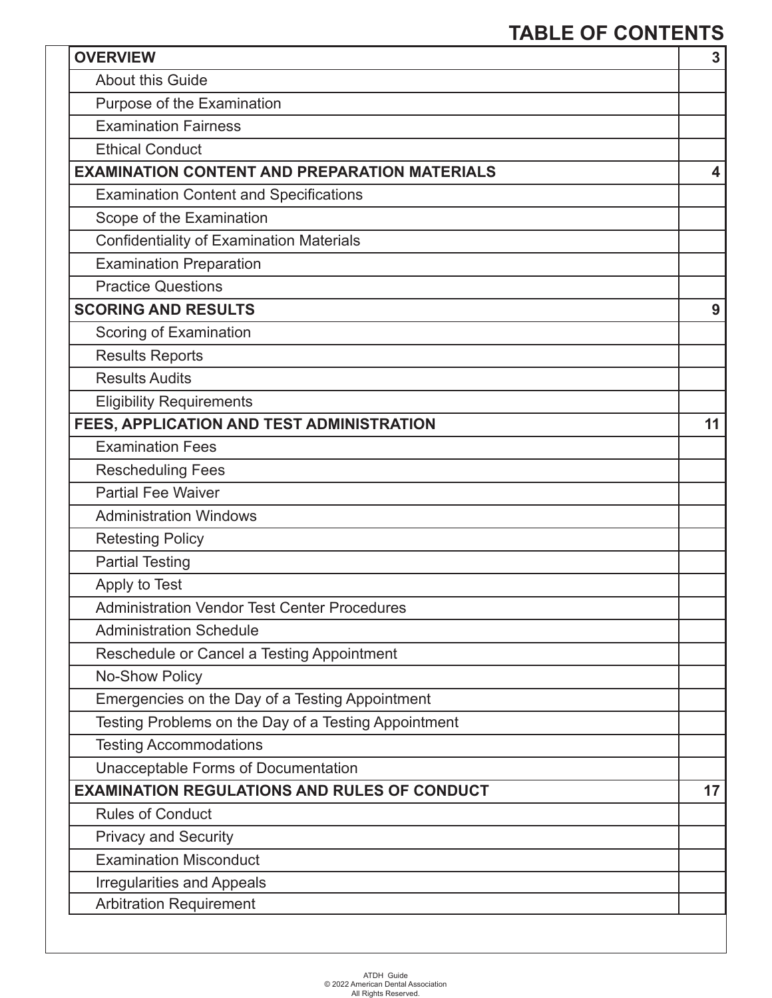### **TABLE OF CONTENTS**

| <b>OVERVIEW</b>                                      | $\overline{3}$ |
|------------------------------------------------------|----------------|
| <b>About this Guide</b>                              |                |
| Purpose of the Examination                           |                |
| <b>Examination Fairness</b>                          |                |
| <b>Ethical Conduct</b>                               |                |
| <b>EXAMINATION CONTENT AND PREPARATION MATERIALS</b> | 4              |
| <b>Examination Content and Specifications</b>        |                |
| Scope of the Examination                             |                |
| <b>Confidentiality of Examination Materials</b>      |                |
| <b>Examination Preparation</b>                       |                |
| <b>Practice Questions</b>                            |                |
| <b>SCORING AND RESULTS</b>                           | 9              |
| Scoring of Examination                               |                |
| <b>Results Reports</b>                               |                |
| <b>Results Audits</b>                                |                |
| <b>Eligibility Requirements</b>                      |                |
| FEES, APPLICATION AND TEST ADMINISTRATION            | 11             |
| <b>Examination Fees</b>                              |                |
| <b>Rescheduling Fees</b>                             |                |
| <b>Partial Fee Waiver</b>                            |                |
| <b>Administration Windows</b>                        |                |
| <b>Retesting Policy</b>                              |                |
| <b>Partial Testing</b>                               |                |
| Apply to Test                                        |                |
| <b>Administration Vendor Test Center Procedures</b>  |                |
| <b>Administration Schedule</b>                       |                |
| Reschedule or Cancel a Testing Appointment           |                |
| No-Show Policy                                       |                |
| Emergencies on the Day of a Testing Appointment      |                |
| Testing Problems on the Day of a Testing Appointment |                |
| <b>Testing Accommodations</b>                        |                |
| Unacceptable Forms of Documentation                  |                |
| <b>EXAMINATION REGULATIONS AND RULES OF CONDUCT</b>  | 17             |
| <b>Rules of Conduct</b>                              |                |
| <b>Privacy and Security</b>                          |                |
| <b>Examination Misconduct</b>                        |                |
| <b>Irregularities and Appeals</b>                    |                |
| <b>Arbitration Requirement</b>                       |                |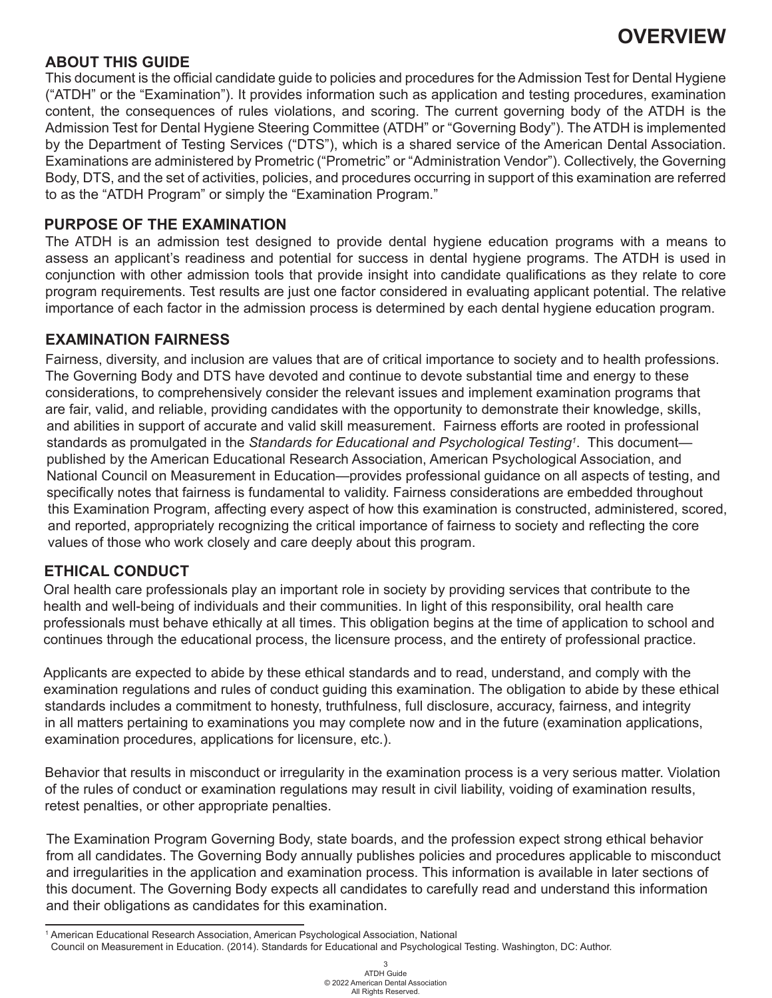#### **ABOUT THIS GUIDE**

This document is the official candidate guide to policies and procedures for the Admission Test for Dental Hygiene ("ATDH" or the "Examination"). It provides information such as application and testing procedures, examination content, the consequences of rules violations, and scoring. The current governing body of the ATDH is the Admission Test for Dental Hygiene Steering Committee (ATDH" or "Governing Body"). The ATDH is implemented by the Department of Testing Services ("DTS"), which is a shared service of the American Dental Association. Examinations are administered by Prometric ("Prometric" or "Administration Vendor"). Collectively, the Governing Body, DTS, and the set of activities, policies, and procedures occurring in support of this examination are referred to as the "ATDH Program" or simply the "Examination Program."

#### **PURPOSE OF THE EXAMINATION**

The ATDH is an admission test designed to provide dental hygiene education programs with a means to assess an applicant's readiness and potential for success in dental hygiene programs. The ATDH is used in conjunction with other admission tools that provide insight into candidate qualifications as they relate to core program requirements. Test results are just one factor considered in evaluating applicant potential. The relative importance of each factor in the admission process is determined by each dental hygiene education program.

#### **EXAMINATION FAIRNESS**

Fairness, diversity, and inclusion are values that are of critical importance to society and to health professions. The Governing Body and DTS have devoted and continue to devote substantial time and energy to these considerations, to comprehensively consider the relevant issues and implement examination programs that are fair, valid, and reliable, providing candidates with the opportunity to demonstrate their knowledge, skills, and abilities in support of accurate and valid skill measurement. Fairness efforts are rooted in professional standards as promulgated in the Standards for Educational and Psychological Testing<sup>1</sup>. This document published by the American Educational Research Association, American Psychological Association, and National Council on Measurement in Education—provides professional guidance on all aspects of testing, and specifically notes that fairness is fundamental to validity. Fairness considerations are embedded throughout this Examination Program, affecting every aspect of how this examination is constructed, administered, scored, and reported, appropriately recognizing the critical importance of fairness to society and reflecting the core values of those who work closely and care deeply about this program.

#### **ETHICAL CONDUCT**

Oral health care professionals play an important role in society by providing services that contribute to the health and well-being of individuals and their communities. In light of this responsibility, oral health care professionals must behave ethically at all times. This obligation begins at the time of application to school and continues through the educational process, the licensure process, and the entirety of professional practice.

Applicants are expected to abide by these ethical standards and to read, understand, and comply with the examination regulations and rules of conduct guiding this examination. The obligation to abide by these ethical standards includes a commitment to honesty, truthfulness, full disclosure, accuracy, fairness, and integrity in all matters pertaining to examinations you may complete now and in the future (examination applications, examination procedures, applications for licensure, etc.).

Behavior that results in misconduct or irregularity in the examination process is a very serious matter. Violation of the rules of conduct or examination regulations may result in civil liability, voiding of examination results, retest penalties, or other appropriate penalties.

The Examination Program Governing Body, state boards, and the profession expect strong ethical behavior from all candidates. The Governing Body annually publishes policies and procedures applicable to misconduct and irregularities in the application and examination process. This information is available in later sections of this document. The Governing Body expects all candidates to carefully read and understand this information and their obligations as candidates for this examination.

<sup>1</sup> American Educational Research Association, American Psychological Association, National

Council on Measurement in Education. (2014). Standards for Educational and Psychological Testing. Washington, DC: Author.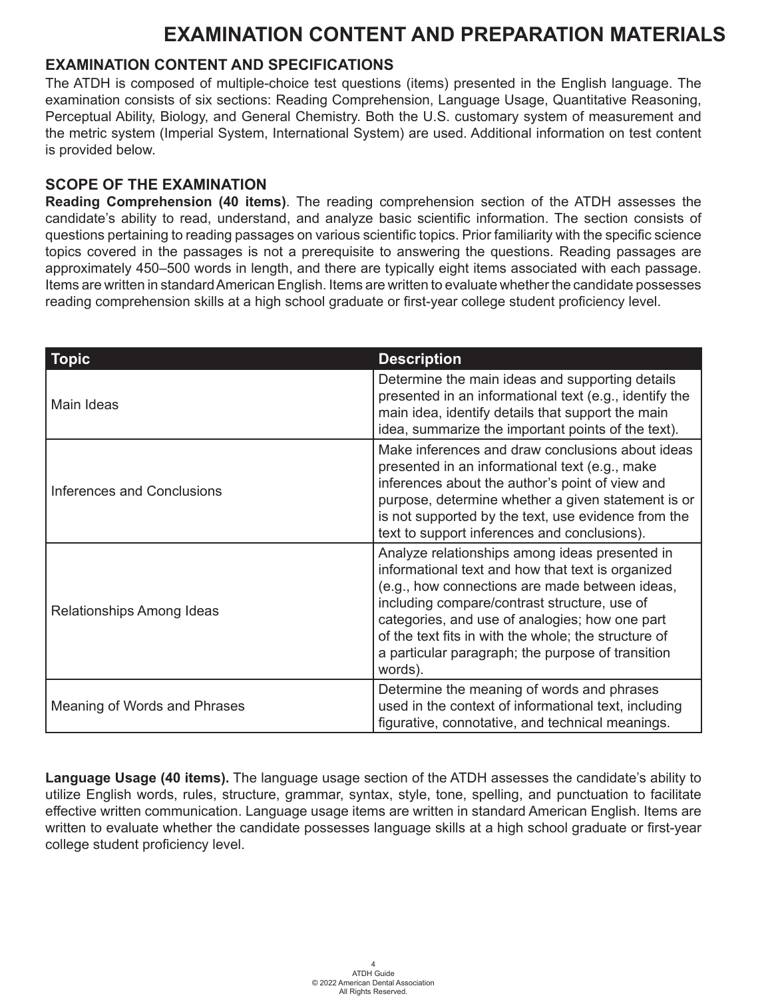### **EXAMINATION CONTENT AND SPECIFICATIONS**

The ATDH is composed of multiple-choice test questions (items) presented in the English language. The examination consists of six sections: Reading Comprehension, Language Usage, Quantitative Reasoning, Perceptual Ability, Biology, and General Chemistry. Both the U.S. customary system of measurement and the metric system (Imperial System, International System) are used. Additional information on test content is provided below.

#### **SCOPE OF THE EXAMINATION**

**Reading Comprehension (40 items)**. The reading comprehension section of the ATDH assesses the candidate's ability to read, understand, and analyze basic scientific information. The section consists of questions pertaining to reading passages on various scientific topics. Prior familiarity with the specific science topics covered in the passages is not a prerequisite to answering the questions. Reading passages are approximately 450–500 words in length, and there are typically eight items associated with each passage. Items are written in standard American English. Items are written to evaluate whether the candidate possesses reading comprehension skills at a high school graduate or first-year college student proficiency level.

| <b>Topic</b>                 | <b>Description</b>                                                                                                                                                                                                                                                                                                                                                              |
|------------------------------|---------------------------------------------------------------------------------------------------------------------------------------------------------------------------------------------------------------------------------------------------------------------------------------------------------------------------------------------------------------------------------|
| Main Ideas                   | Determine the main ideas and supporting details<br>presented in an informational text (e.g., identify the<br>main idea, identify details that support the main<br>idea, summarize the important points of the text).                                                                                                                                                            |
| Inferences and Conclusions   | Make inferences and draw conclusions about ideas<br>presented in an informational text (e.g., make<br>inferences about the author's point of view and<br>purpose, determine whether a given statement is or<br>is not supported by the text, use evidence from the<br>text to support inferences and conclusions).                                                              |
| Relationships Among Ideas    | Analyze relationships among ideas presented in<br>informational text and how that text is organized<br>(e.g., how connections are made between ideas,<br>including compare/contrast structure, use of<br>categories, and use of analogies; how one part<br>of the text fits in with the whole; the structure of<br>a particular paragraph; the purpose of transition<br>words). |
| Meaning of Words and Phrases | Determine the meaning of words and phrases<br>used in the context of informational text, including<br>figurative, connotative, and technical meanings.                                                                                                                                                                                                                          |

**Language Usage (40 items).** The language usage section of the ATDH assesses the candidate's ability to utilize English words, rules, structure, grammar, syntax, style, tone, spelling, and punctuation to facilitate effective written communication. Language usage items are written in standard American English. Items are written to evaluate whether the candidate possesses language skills at a high school graduate or first-year college student proficiency level.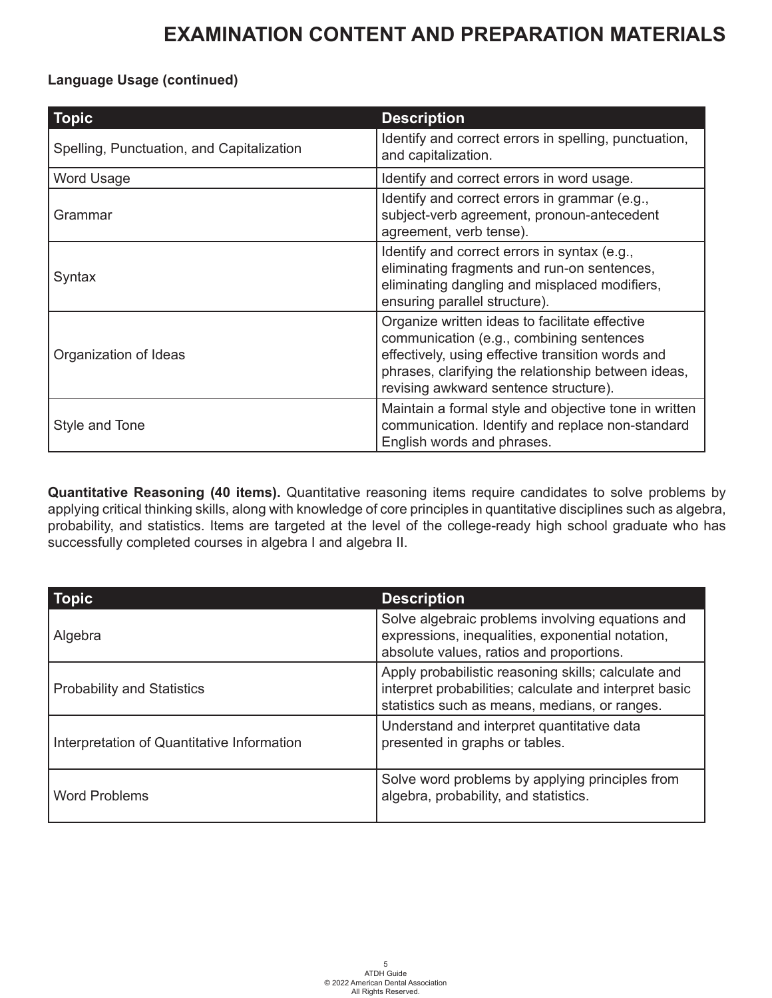#### **Language Usage (continued)**

| <b>Topic</b>                              | <b>Description</b>                                                                                                                                                                                                                              |
|-------------------------------------------|-------------------------------------------------------------------------------------------------------------------------------------------------------------------------------------------------------------------------------------------------|
| Spelling, Punctuation, and Capitalization | Identify and correct errors in spelling, punctuation,<br>and capitalization.                                                                                                                                                                    |
| Word Usage                                | Identify and correct errors in word usage.                                                                                                                                                                                                      |
| Grammar                                   | Identify and correct errors in grammar (e.g.,<br>subject-verb agreement, pronoun-antecedent<br>agreement, verb tense).                                                                                                                          |
| Syntax                                    | Identify and correct errors in syntax (e.g.,<br>eliminating fragments and run-on sentences,<br>eliminating dangling and misplaced modifiers,<br>ensuring parallel structure).                                                                   |
| Organization of Ideas                     | Organize written ideas to facilitate effective<br>communication (e.g., combining sentences<br>effectively, using effective transition words and<br>phrases, clarifying the relationship between ideas,<br>revising awkward sentence structure). |
| Style and Tone                            | Maintain a formal style and objective tone in written<br>communication. Identify and replace non-standard<br>English words and phrases.                                                                                                         |

**Quantitative Reasoning (40 items).** Quantitative reasoning items require candidates to solve problems by applying critical thinking skills, along with knowledge of core principles in quantitative disciplines such as algebra, probability, and statistics. Items are targeted at the level of the college-ready high school graduate who has successfully completed courses in algebra I and algebra II.

| <b>Topic</b>                               | <b>Description</b>                                                                                                                                             |
|--------------------------------------------|----------------------------------------------------------------------------------------------------------------------------------------------------------------|
| Algebra                                    | Solve algebraic problems involving equations and<br>expressions, inequalities, exponential notation,<br>absolute values, ratios and proportions.               |
| <b>Probability and Statistics</b>          | Apply probabilistic reasoning skills; calculate and<br>interpret probabilities; calculate and interpret basic<br>statistics such as means, medians, or ranges. |
| Interpretation of Quantitative Information | Understand and interpret quantitative data<br>presented in graphs or tables.                                                                                   |
| <b>Word Problems</b>                       | Solve word problems by applying principles from<br>algebra, probability, and statistics.                                                                       |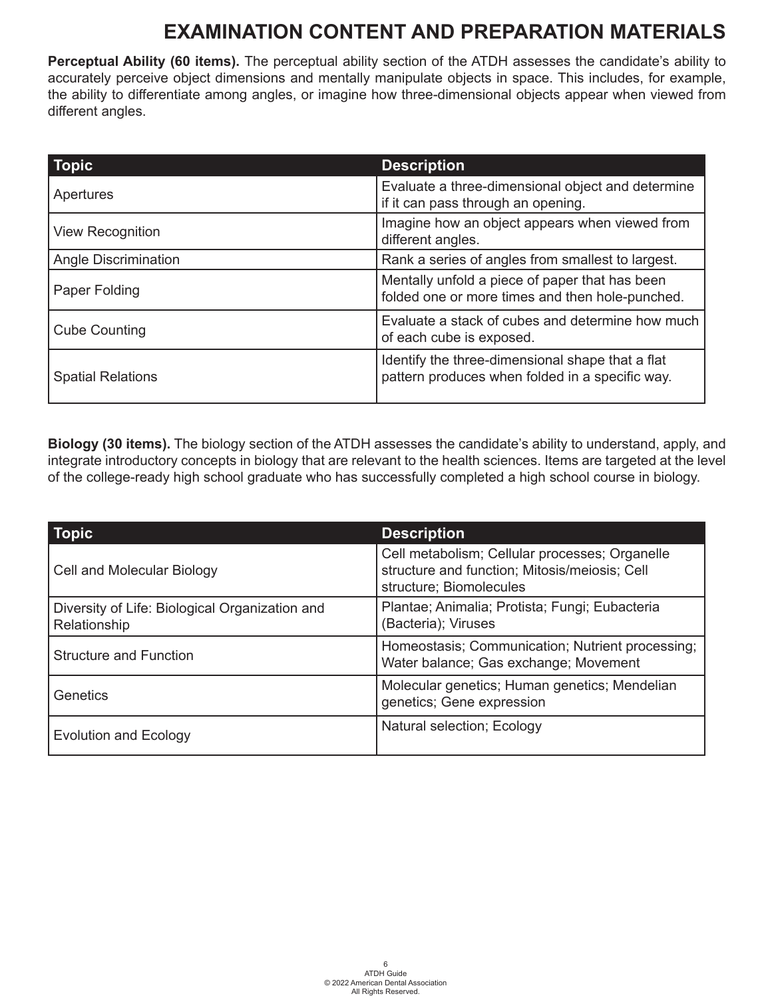**Perceptual Ability (60 items).** The perceptual ability section of the ATDH assesses the candidate's ability to accurately perceive object dimensions and mentally manipulate objects in space. This includes, for example, the ability to differentiate among angles, or imagine how three-dimensional objects appear when viewed from different angles.

| <b>Topic</b>                                                                                   | <b>Description</b>                                                                                  |  |
|------------------------------------------------------------------------------------------------|-----------------------------------------------------------------------------------------------------|--|
| Apertures                                                                                      | Evaluate a three-dimensional object and determine<br>if it can pass through an opening.             |  |
| Imagine how an object appears when viewed from<br><b>View Recognition</b><br>different angles. |                                                                                                     |  |
| Angle Discrimination                                                                           | Rank a series of angles from smallest to largest.                                                   |  |
| Paper Folding                                                                                  | Mentally unfold a piece of paper that has been<br>folded one or more times and then hole-punched.   |  |
| <b>Cube Counting</b>                                                                           | Evaluate a stack of cubes and determine how much<br>of each cube is exposed.                        |  |
| <b>Spatial Relations</b>                                                                       | Identify the three-dimensional shape that a flat<br>pattern produces when folded in a specific way. |  |

**Biology (30 items).** The biology section of the ATDH assesses the candidate's ability to understand, apply, and integrate introductory concepts in biology that are relevant to the health sciences. Items are targeted at the level of the college-ready high school graduate who has successfully completed a high school course in biology.

| <b>Topic</b>                                                   | <b>Description</b>                                                                                                         |
|----------------------------------------------------------------|----------------------------------------------------------------------------------------------------------------------------|
| Cell and Molecular Biology                                     | Cell metabolism; Cellular processes; Organelle<br>structure and function; Mitosis/meiosis; Cell<br>structure; Biomolecules |
| Diversity of Life: Biological Organization and<br>Relationship | Plantae; Animalia; Protista; Fungi; Eubacteria<br>(Bacteria); Viruses                                                      |
| <b>Structure and Function</b>                                  | Homeostasis; Communication; Nutrient processing;<br>Water balance; Gas exchange; Movement                                  |
| Genetics                                                       | Molecular genetics; Human genetics; Mendelian<br>genetics; Gene expression                                                 |
| <b>Evolution and Ecology</b>                                   | Natural selection; Ecology                                                                                                 |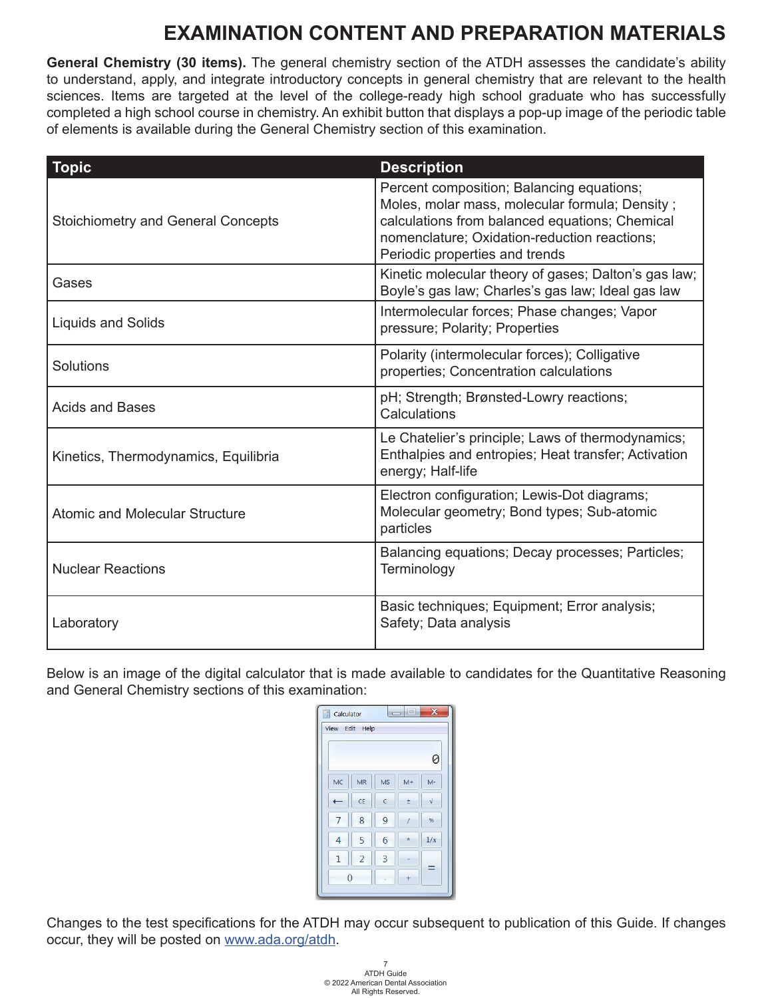**General Chemistry (30 items).** The general chemistry section of the ATDH assesses the candidate's ability to understand, apply, and integrate introductory concepts in general chemistry that are relevant to the health sciences. Items are targeted at the level of the college-ready high school graduate who has successfully completed a high school course in chemistry. An exhibit button that displays a pop-up image of the periodic table of elements is available during the General Chemistry section of this examination.

| <b>Topic</b>                              | <b>Description</b>                                                                                                                                                                                                              |
|-------------------------------------------|---------------------------------------------------------------------------------------------------------------------------------------------------------------------------------------------------------------------------------|
| <b>Stoichiometry and General Concepts</b> | Percent composition; Balancing equations;<br>Moles, molar mass, molecular formula; Density;<br>calculations from balanced equations; Chemical<br>nomenclature; Oxidation-reduction reactions;<br>Periodic properties and trends |
| Gases                                     | Kinetic molecular theory of gases; Dalton's gas law;<br>Boyle's gas law; Charles's gas law; Ideal gas law                                                                                                                       |
| <b>Liquids and Solids</b>                 | Intermolecular forces; Phase changes; Vapor<br>pressure; Polarity; Properties                                                                                                                                                   |
| Solutions                                 | Polarity (intermolecular forces); Colligative<br>properties; Concentration calculations                                                                                                                                         |
| <b>Acids and Bases</b>                    | pH; Strength; Brønsted-Lowry reactions;<br>Calculations                                                                                                                                                                         |
| Kinetics, Thermodynamics, Equilibria      | Le Chatelier's principle; Laws of thermodynamics;<br>Enthalpies and entropies; Heat transfer; Activation<br>energy; Half-life                                                                                                   |
| <b>Atomic and Molecular Structure</b>     | Electron configuration; Lewis-Dot diagrams;<br>Molecular geometry; Bond types; Sub-atomic<br>particles                                                                                                                          |
| <b>Nuclear Reactions</b>                  | Balancing equations; Decay processes; Particles;<br>Terminology                                                                                                                                                                 |
| Laboratory                                | Basic techniques; Equipment; Error analysis;<br>Safety; Data analysis                                                                                                                                                           |

Below is an image of the digital calculator that is made available to candidates for the Quantitative Reasoning and General Chemistry sections of this examination:

| View           | Edit<br>Help   |              |         |            |
|----------------|----------------|--------------|---------|------------|
|                |                |              |         | 0          |
| MC             | <b>MR</b>      | <b>MS</b>    | $M+$    | $M -$      |
|                | CE             | $\mathsf{C}$ | ±       | $\sqrt{ }$ |
|                | 8              | 9            |         | %          |
| $\overline{4}$ | 5              | 6            | $\star$ | 1/x        |
| $\mathbf{1}$   | $\overline{2}$ | 3            |         |            |
|                | $\overline{0}$ |              |         |            |

Changes to the test specifications for the ATDH may occur subsequent to publication of this Guide. If changes occur, they will be posted on [www.ada.org/atdh.](www.ada.org/atdh)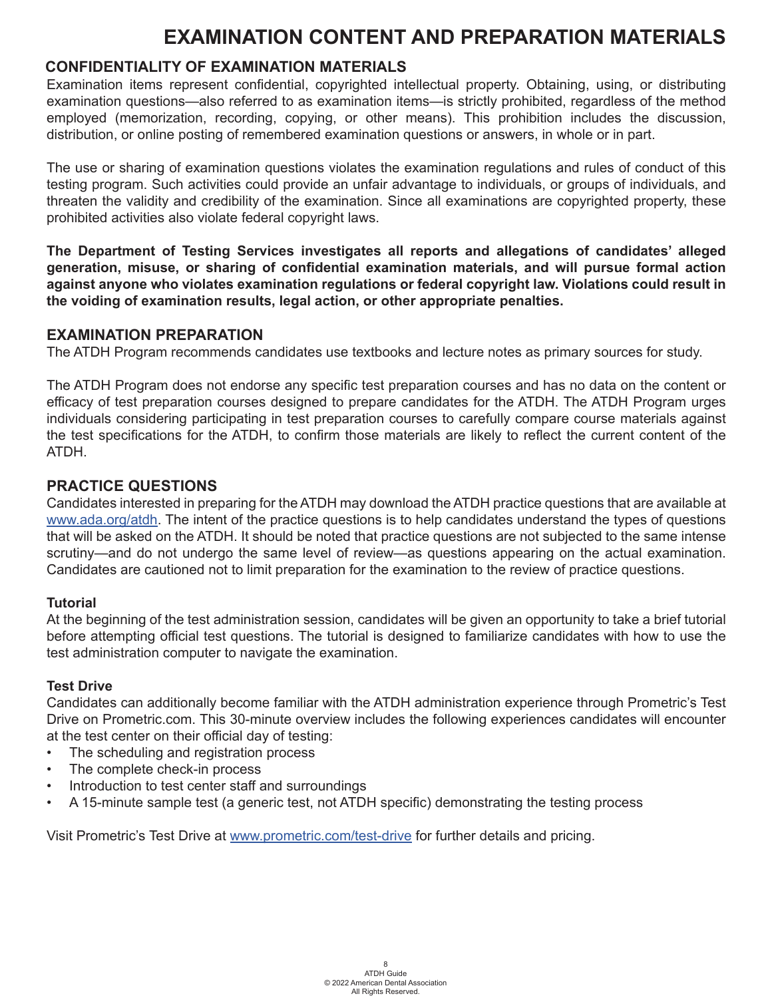#### **CONFIDENTIALITY OF EXAMINATION MATERIALS**

Examination items represent confidential, copyrighted intellectual property. Obtaining, using, or distributing examination questions—also referred to as examination items—is strictly prohibited, regardless of the method employed (memorization, recording, copying, or other means). This prohibition includes the discussion, distribution, or online posting of remembered examination questions or answers, in whole or in part.

The use or sharing of examination questions violates the examination regulations and rules of conduct of this testing program. Such activities could provide an unfair advantage to individuals, or groups of individuals, and threaten the validity and credibility of the examination. Since all examinations are copyrighted property, these prohibited activities also violate federal copyright laws.

**The Department of Testing Services investigates all reports and allegations of candidates' alleged generation, misuse, or sharing of confidential examination materials, and will pursue formal action against anyone who violates examination regulations or federal copyright law. Violations could result in the voiding of examination results, legal action, or other appropriate penalties.** 

#### **EXAMINATION PREPARATION**

The ATDH Program recommends candidates use textbooks and lecture notes as primary sources for study.

The ATDH Program does not endorse any specific test preparation courses and has no data on the content or efficacy of test preparation courses designed to prepare candidates for the ATDH. The ATDH Program urges individuals considering participating in test preparation courses to carefully compare course materials against the test specifications for the ATDH, to confirm those materials are likely to reflect the current content of the ATDH.

#### **PRACTICE QUESTIONS**

Candidates interested in preparing for the ATDH may download the ATDH practice questions that are available at <www.ada.org/atdh>. The intent of the practice questions is to help candidates understand the types of questions that will be asked on the ATDH. It should be noted that practice questions are not subjected to the same intense scrutiny—and do not undergo the same level of review—as questions appearing on the actual examination. Candidates are cautioned not to limit preparation for the examination to the review of practice questions.

#### **Tutorial**

At the beginning of the test administration session, candidates will be given an opportunity to take a brief tutorial before attempting official test questions. The tutorial is designed to familiarize candidates with how to use the test administration computer to navigate the examination.

#### **Test Drive**

Candidates can additionally become familiar with the ATDH administration experience through Prometric's Test Drive on Prometric.com. This 30-minute overview includes the following experiences candidates will encounter at the test center on their official day of testing:

- The scheduling and registration process
- The complete check-in process
- Introduction to test center staff and surroundings
- A 15-minute sample test (a generic test, not ATDH specific) demonstrating the testing process

Visit Prometric's Test Drive at<www.prometric.com/test-drive> for further details and pricing.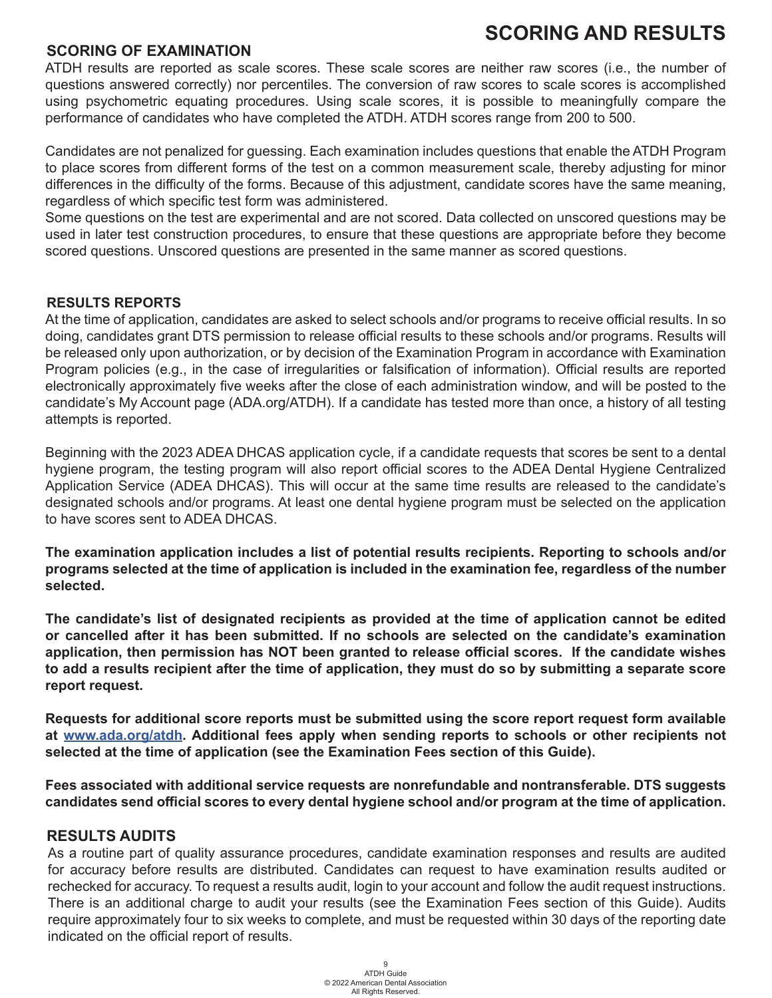### **SCORING AND RESULTS**

#### **SCORING OF EXAMINATION**

ATDH results are reported as scale scores. These scale scores are neither raw scores (i.e., the number of questions answered correctly) nor percentiles. The conversion of raw scores to scale scores is accomplished using psychometric equating procedures. Using scale scores, it is possible to meaningfully compare the performance of candidates who have completed the ATDH. ATDH scores range from 200 to 500.

Candidates are not penalized for guessing. Each examination includes questions that enable the ATDH Program to place scores from different forms of the test on a common measurement scale, thereby adjusting for minor differences in the difficulty of the forms. Because of this adjustment, candidate scores have the same meaning, regardless of which specific test form was administered.

Some questions on the test are experimental and are not scored. Data collected on unscored questions may be used in later test construction procedures, to ensure that these questions are appropriate before they become scored questions. Unscored questions are presented in the same manner as scored questions.

#### **RESULTS REPORTS**

At the time of application, candidates are asked to select schools and/or programs to receive official results. In so doing, candidates grant DTS permission to release official results to these schools and/or programs. Results will be released only upon authorization, or by decision of the Examination Program in accordance with Examination Program policies (e.g., in the case of irregularities or falsification of information). Official results are reported electronically approximately five weeks after the close of each administration window, and will be posted to the candidate's My Account page (ADA.org/ATDH). If a candidate has tested more than once, a history of all testing attempts is reported.

Beginning with the 2023 ADEA DHCAS application cycle, if a candidate requests that scores be sent to a dental hygiene program, the testing program will also report official scores to the ADEA Dental Hygiene Centralized Application Service (ADEA DHCAS). This will occur at the same time results are released to the candidate's designated schools and/or programs. At least one dental hygiene program must be selected on the application to have scores sent to ADEA DHCAS.

**The examination application includes a list of potential results recipients. Reporting to schools and/or programs selected at the time of application is included in the examination fee, regardless of the number selected.**

**The candidate's list of designated recipients as provided at the time of application cannot be edited or cancelled after it has been submitted. If no schools are selected on the candidate's examination application, then permission has NOT been granted to release official scores. If the candidate wishes to add a results recipient after the time of application, they must do so by submitting a separate score report request.** 

**Requests for additional score reports must be submitted using the score report request form available at [www.ada.org/atdh.](www.ada.org/atdh) Additional fees apply when sending reports to schools or other recipients not selected at the time of application (see the Examination Fees section of this Guide).**

**Fees associated with additional service requests are nonrefundable and nontransferable. DTS suggests candidates send official scores to every dental hygiene school and/or program at the time of application.**

#### **RESULTS AUDITS**

As a routine part of quality assurance procedures, candidate examination responses and results are audited for accuracy before results are distributed. Candidates can request to have examination results audited or rechecked for accuracy. To request a results audit, login to your account and follow the audit request instructions. There is an additional charge to audit your results (see the Examination Fees section of this Guide). Audits require approximately four to six weeks to complete, and must be requested within 30 days of the reporting date indicated on the official report of results.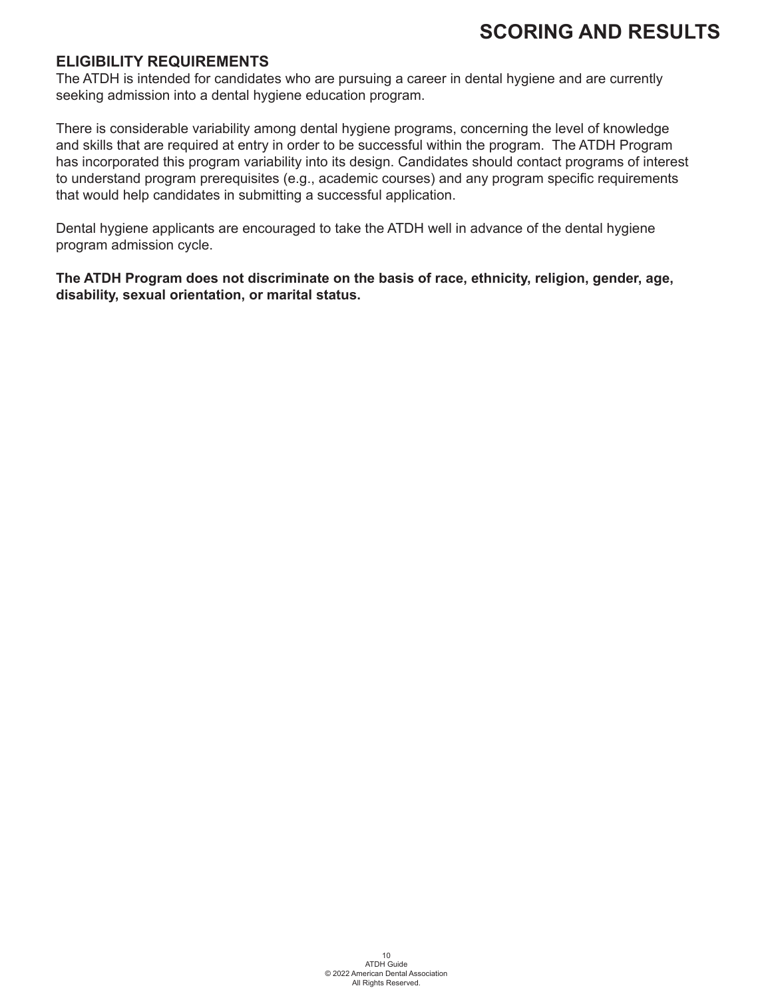#### **ELIGIBILITY REQUIREMENTS**

The ATDH is intended for candidates who are pursuing a career in dental hygiene and are currently seeking admission into a dental hygiene education program.

There is considerable variability among dental hygiene programs, concerning the level of knowledge and skills that are required at entry in order to be successful within the program. The ATDH Program has incorporated this program variability into its design. Candidates should contact programs of interest to understand program prerequisites (e.g., academic courses) and any program specific requirements that would help candidates in submitting a successful application.

Dental hygiene applicants are encouraged to take the ATDH well in advance of the dental hygiene program admission cycle.

**The ATDH Program does not discriminate on the basis of race, ethnicity, religion, gender, age, disability, sexual orientation, or marital status.**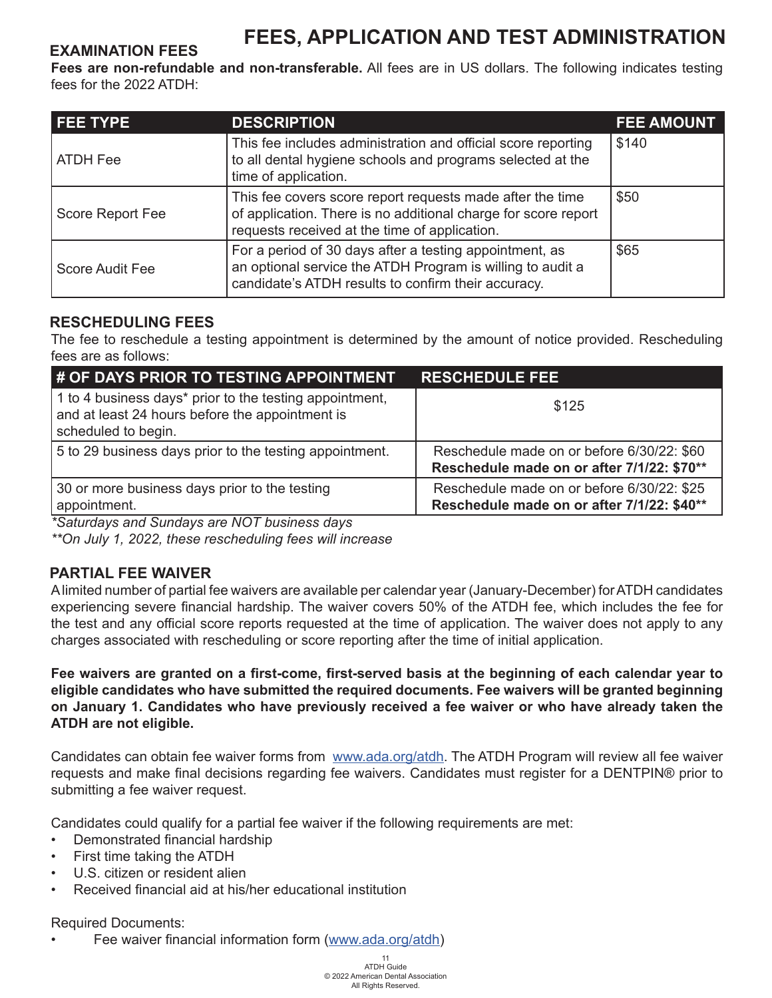## **FEES, APPLICATION AND TEST ADMINISTRATION EXAMINATION FEES**

**Fees are non-refundable and non-transferable.** All fees are in US dollars. The following indicates testing fees for the 2022 ATDH:

| <b>FEE TYPE</b>        | <b>DESCRIPTION</b>                                                                                                                                                           | <b>FEE AMOUNT</b> |
|------------------------|------------------------------------------------------------------------------------------------------------------------------------------------------------------------------|-------------------|
| ATDH Fee               | This fee includes administration and official score reporting<br>to all dental hygiene schools and programs selected at the<br>time of application.                          | \$140             |
| Score Report Fee       | This fee covers score report requests made after the time<br>of application. There is no additional charge for score report<br>requests received at the time of application. | \$50              |
| <b>Score Audit Fee</b> | For a period of 30 days after a testing appointment, as<br>an optional service the ATDH Program is willing to audit a<br>candidate's ATDH results to confirm their accuracy. | \$65              |

#### **RESCHEDULING FEES**

The fee to reschedule a testing appointment is determined by the amount of notice provided. Rescheduling fees are as follows:

| # OF DAYS PRIOR TO TESTING APPOINTMENT                                                                                            | <b>RESCHEDULE FEE</b>                                                                    |
|-----------------------------------------------------------------------------------------------------------------------------------|------------------------------------------------------------------------------------------|
| 1 to 4 business days* prior to the testing appointment,<br>and at least 24 hours before the appointment is<br>scheduled to begin. | \$125                                                                                    |
| 5 to 29 business days prior to the testing appointment.                                                                           | Reschedule made on or before 6/30/22: \$60<br>Reschedule made on or after 7/1/22: \$70** |
| 30 or more business days prior to the testing<br>appointment.                                                                     | Reschedule made on or before 6/30/22: \$25<br>Reschedule made on or after 7/1/22: \$40** |

*\*Saturdays and Sundays are NOT business days*

*\*\*On July 1, 2022, these rescheduling fees will increase*

#### **PARTIAL FEE WAIVER**

A limited number of partial fee waivers are available per calendar year (January-December) for ATDH candidates experiencing severe financial hardship. The waiver covers 50% of the ATDH fee, which includes the fee for the test and any official score reports requested at the time of application. The waiver does not apply to any charges associated with rescheduling or score reporting after the time of initial application.

**Fee waivers are granted on a first-come, first-served basis at the beginning of each calendar year to eligible candidates who have submitted the required documents. Fee waivers will be granted beginning on January 1. Candidates who have previously received a fee waiver or who have already taken the ATDH are not eligible.**

Candidates can obtain fee waiver forms from www.ada.org/atdh. The ATDH Program will review all fee waiver requests and make final decisions regarding fee waivers. Candidates must register for a DENTPIN® prior to submitting a fee waiver request.

Candidates could qualify for a partial fee waiver if the following requirements are met:

- Demonstrated financial hardship
- First time taking the ATDH
- U.S. citizen or resident alien
- Received financial aid at his/her educational institution

#### Required Documents:

Fee waiver financial information form (www.ada.org/atdh)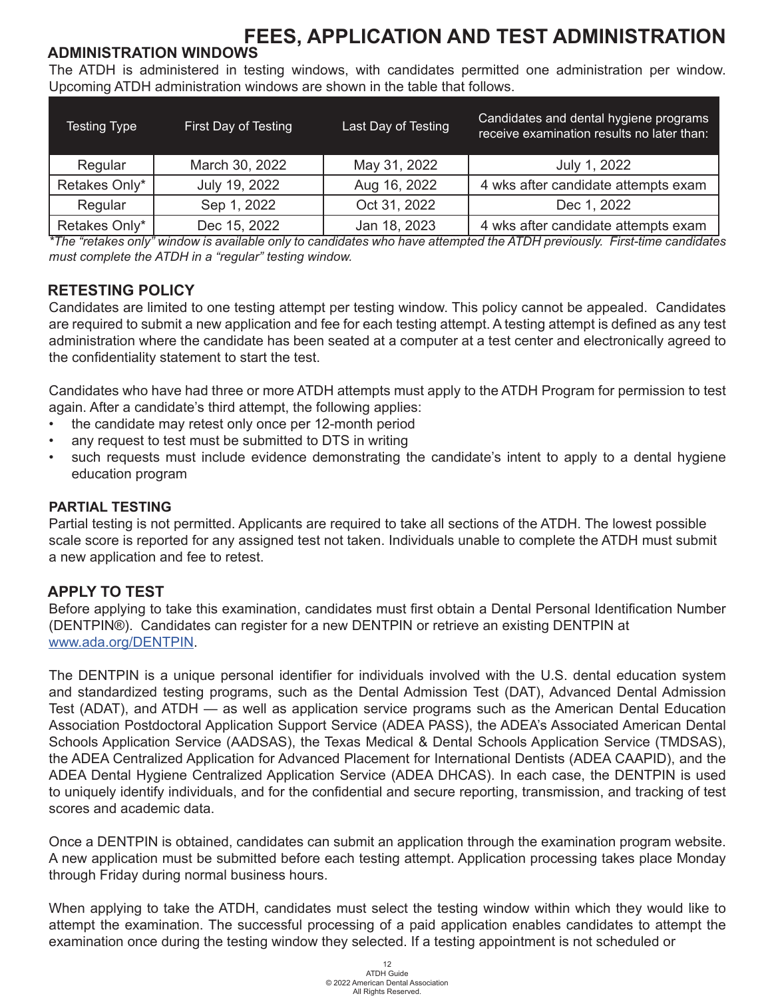#### **ADMINISTRATION WINDOWS**

The ATDH is administered in testing windows, with candidates permitted one administration per window. Upcoming ATDH administration windows are shown in the table that follows.

| <b>Testing Type</b> | First Day of Testing | Last Day of Testing | Candidates and dental hygiene programs<br>receive examination results no later than: |
|---------------------|----------------------|---------------------|--------------------------------------------------------------------------------------|
| Regular             | March 30, 2022       | May 31, 2022        | July 1, 2022                                                                         |
| Retakes Only*       | July 19, 2022        | Aug 16, 2022        | 4 wks after candidate attempts exam                                                  |
| Regular             | Sep 1, 2022          | Oct 31, 2022        | Dec 1, 2022                                                                          |
| Retakes Only*       | Dec 15, 2022         | Jan 18, 2023        | 4 wks after candidate attempts exam                                                  |

*\*The "retakes only" window is available only to candidates who have attempted the ATDH previously. First-time candidates must complete the ATDH in a "regular" testing window.*

#### **RETESTING POLICY**

Candidates are limited to one testing attempt per testing window. This policy cannot be appealed. Candidates are required to submit a new application and fee for each testing attempt. A testing attempt is defined as any test administration where the candidate has been seated at a computer at a test center and electronically agreed to the confidentiality statement to start the test.

Candidates who have had three or more ATDH attempts must apply to the ATDH Program for permission to test again. After a candidate's third attempt, the following applies:

- the candidate may retest only once per 12-month period
- any request to test must be submitted to DTS in writing
- such requests must include evidence demonstrating the candidate's intent to apply to a dental hygiene education program

#### **PARTIAL TESTING**

Partial testing is not permitted. Applicants are required to take all sections of the ATDH. The lowest possible scale score is reported for any assigned test not taken. Individuals unable to complete the ATDH must submit a new application and fee to retest.

#### **APPLY TO TEST**

Before applying to take this examination, candidates must first obtain a Dental Personal Identification Number (DENTPIN®). Candidates can register for a new DENTPIN or retrieve an existing DENTPIN at www.ada.org/DENTPIN.

The DENTPIN is a unique personal identifier for individuals involved with the U.S. dental education system and standardized testing programs, such as the Dental Admission Test (DAT), Advanced Dental Admission Test (ADAT), and ATDH — as well as application service programs such as the American Dental Education Association Postdoctoral Application Support Service (ADEA PASS), the ADEA's Associated American Dental Schools Application Service (AADSAS), the Texas Medical & Dental Schools Application Service (TMDSAS), the ADEA Centralized Application for Advanced Placement for International Dentists (ADEA CAAPID), and the ADEA Dental Hygiene Centralized Application Service (ADEA DHCAS). In each case, the DENTPIN is used to uniquely identify individuals, and for the confidential and secure reporting, transmission, and tracking of test scores and academic data.

Once a DENTPIN is obtained, candidates can submit an application through the examination program website. A new application must be submitted before each testing attempt. Application processing takes place Monday through Friday during normal business hours.

When applying to take the ATDH, candidates must select the testing window within which they would like to attempt the examination. The successful processing of a paid application enables candidates to attempt the examination once during the testing window they selected. If a testing appointment is not scheduled or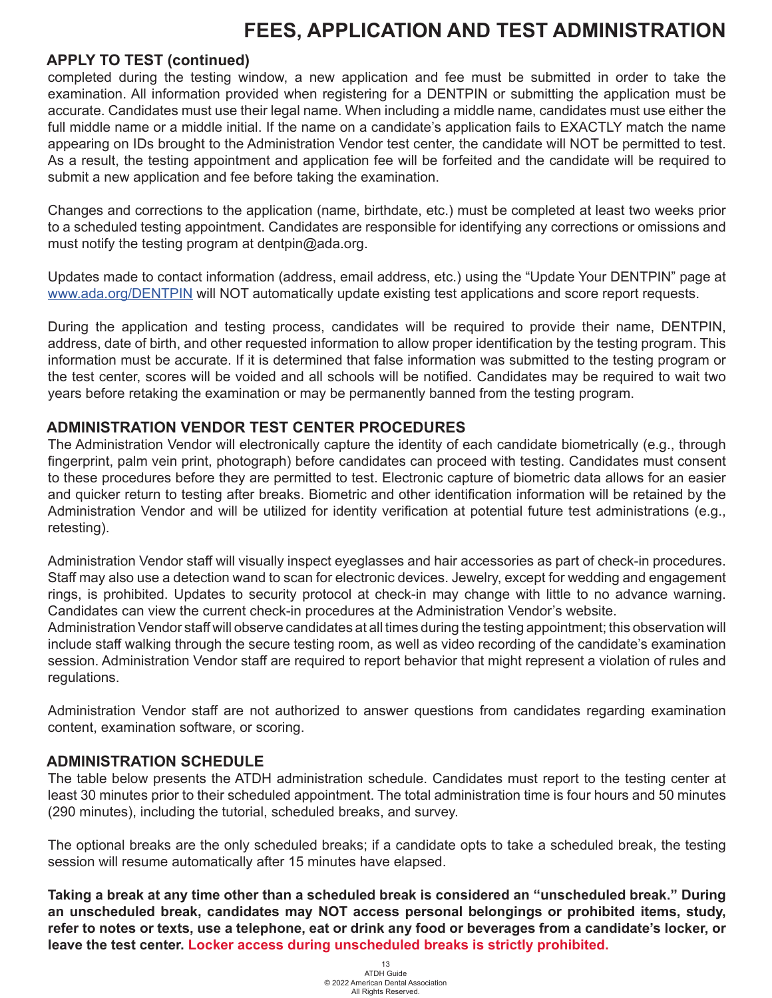#### **APPLY TO TEST (continued)**

completed during the testing window, a new application and fee must be submitted in order to take the examination. All information provided when registering for a DENTPIN or submitting the application must be accurate. Candidates must use their legal name. When including a middle name, candidates must use either the full middle name or a middle initial. If the name on a candidate's application fails to EXACTLY match the name appearing on IDs brought to the Administration Vendor test center, the candidate will NOT be permitted to test. As a result, the testing appointment and application fee will be forfeited and the candidate will be required to submit a new application and fee before taking the examination.

Changes and corrections to the application (name, birthdate, etc.) must be completed at least two weeks prior to a scheduled testing appointment. Candidates are responsible for identifying any corrections or omissions and must notify the testing program at dentpin@ada.org.

Updates made to contact information (address, email address, etc.) using the "Update Your DENTPIN" page at www.ada.org/DENTPIN will NOT automatically update existing test applications and score report requests.

During the application and testing process, candidates will be required to provide their name, DENTPIN, address, date of birth, and other requested information to allow proper identification by the testing program. This information must be accurate. If it is determined that false information was submitted to the testing program or the test center, scores will be voided and all schools will be notified. Candidates may be required to wait two years before retaking the examination or may be permanently banned from the testing program.

#### **ADMINISTRATION VENDOR TEST CENTER PROCEDURES**

The Administration Vendor will electronically capture the identity of each candidate biometrically (e.g., through fingerprint, palm vein print, photograph) before candidates can proceed with testing. Candidates must consent to these procedures before they are permitted to test. Electronic capture of biometric data allows for an easier and quicker return to testing after breaks. Biometric and other identification information will be retained by the Administration Vendor and will be utilized for identity verification at potential future test administrations (e.g., retesting).

Administration Vendor staff will visually inspect eyeglasses and hair accessories as part of check-in procedures. Staff may also use a detection wand to scan for electronic devices. Jewelry, except for wedding and engagement rings, is prohibited. Updates to security protocol at check-in may change with little to no advance warning. Candidates can view the current check-in procedures at the Administration Vendor's website.

Administration Vendor staff will observe candidates at all times during the testing appointment; this observation will include staff walking through the secure testing room, as well as video recording of the candidate's examination session. Administration Vendor staff are required to report behavior that might represent a violation of rules and regulations.

Administration Vendor staff are not authorized to answer questions from candidates regarding examination content, examination software, or scoring.

#### **ADMINISTRATION SCHEDULE**

The table below presents the ATDH administration schedule. Candidates must report to the testing center at least 30 minutes prior to their scheduled appointment. The total administration time is four hours and 50 minutes (290 minutes), including the tutorial, scheduled breaks, and survey.

The optional breaks are the only scheduled breaks; if a candidate opts to take a scheduled break, the testing session will resume automatically after 15 minutes have elapsed.

**Taking a break at any time other than a scheduled break is considered an "unscheduled break." During an unscheduled break, candidates may NOT access personal belongings or prohibited items, study, refer to notes or texts, use a telephone, eat or drink any food or beverages from a candidate's locker, or leave the test center. Locker access during unscheduled breaks is strictly prohibited.**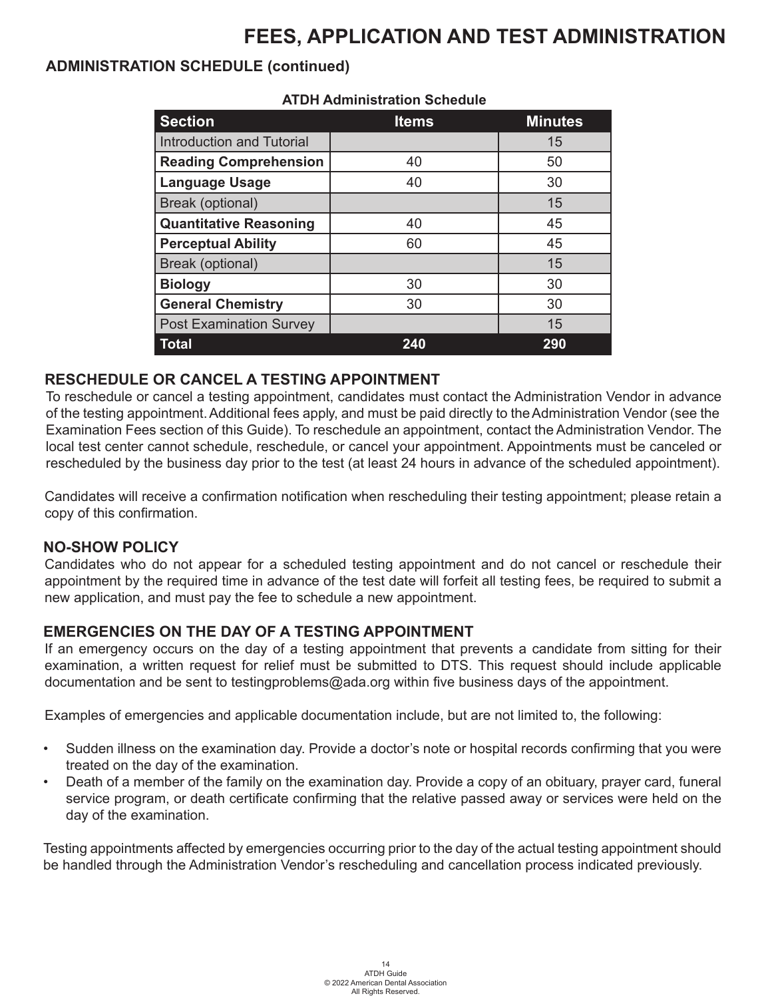#### **ADMINISTRATION SCHEDULE (continued)**

| <b>Section</b>                   | <b>Items</b> | <b>Minutes</b> |  |
|----------------------------------|--------------|----------------|--|
| <b>Introduction and Tutorial</b> |              | 15             |  |
| <b>Reading Comprehension</b>     | 40           | 50             |  |
| <b>Language Usage</b>            | 40           | 30             |  |
| Break (optional)                 |              | 15             |  |
| <b>Quantitative Reasoning</b>    | 40           | 45             |  |
| <b>Perceptual Ability</b>        | 60           | 45             |  |
| Break (optional)                 |              | 15             |  |
| <b>Biology</b>                   | 30           | 30             |  |
| <b>General Chemistry</b>         | 30           | 30             |  |
| <b>Post Examination Survey</b>   |              | 15             |  |
| <b>Total</b>                     | 240          | 290            |  |

#### **ATDH Administration Schedule**

#### **RESCHEDULE OR CANCEL A TESTING APPOINTMENT**

To reschedule or cancel a testing appointment, candidates must contact the Administration Vendor in advance of the testing appointment.Additional fees apply, and must be paid directly to theAdministration Vendor (see the Examination Fees section of this Guide). To reschedule an appointment, contact the Administration Vendor. The local test center cannot schedule, reschedule, or cancel your appointment. Appointments must be canceled or rescheduled by the business day prior to the test (at least 24 hours in advance of the scheduled appointment).

Candidates will receive a confirmation notification when rescheduling their testing appointment; please retain a copy of this confirmation.

#### **NO-SHOW POLICY**

Candidates who do not appear for a scheduled testing appointment and do not cancel or reschedule their appointment by the required time in advance of the test date will forfeit all testing fees, be required to submit a new application, and must pay the fee to schedule a new appointment.

#### **EMERGENCIES ON THE DAY OF A TESTING APPOINTMENT**

If an emergency occurs on the day of a testing appointment that prevents a candidate from sitting for their examination, a written request for relief must be submitted to DTS. This request should include applicable documentation and be sent to testingproblems@ada.org within five business days of the appointment.

Examples of emergencies and applicable documentation include, but are not limited to, the following:

- Sudden illness on the examination day. Provide a doctor's note or hospital records confirming that you were treated on the day of the examination.
- Death of a member of the family on the examination day. Provide a copy of an obituary, prayer card, funeral service program, or death certificate confirming that the relative passed away or services were held on the day of the examination.

Testing appointments affected by emergencies occurring prior to the day of the actual testing appointment should be handled through the Administration Vendor's rescheduling and cancellation process indicated previously.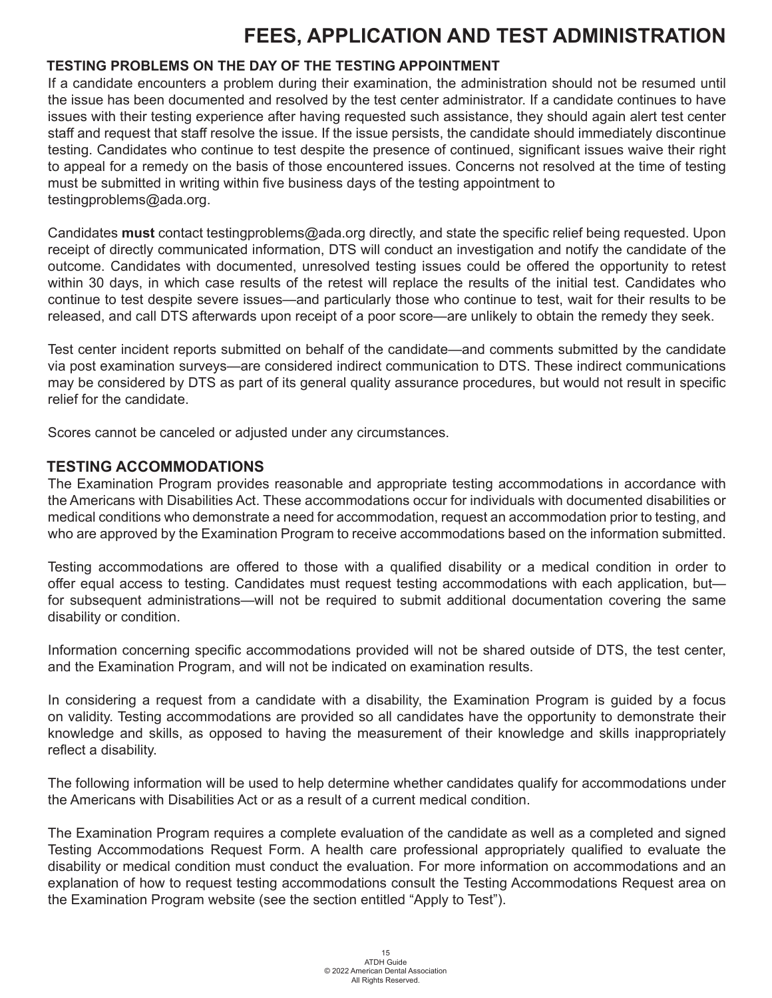#### **TESTING PROBLEMS ON THE DAY OF THE TESTING APPOINTMENT**

If a candidate encounters a problem during their examination, the administration should not be resumed until the issue has been documented and resolved by the test center administrator. If a candidate continues to have issues with their testing experience after having requested such assistance, they should again alert test center staff and request that staff resolve the issue. If the issue persists, the candidate should immediately discontinue testing. Candidates who continue to test despite the presence of continued, significant issues waive their right to appeal for a remedy on the basis of those encountered issues. Concerns not resolved at the time of testing must be submitted in writing within five business days of the testing appointment to testingproblems@ada.org.

Candidates **must** contact testingproblems@ada.org directly, and state the specific relief being requested. Upon receipt of directly communicated information, DTS will conduct an investigation and notify the candidate of the outcome. Candidates with documented, unresolved testing issues could be offered the opportunity to retest within 30 days, in which case results of the retest will replace the results of the initial test. Candidates who continue to test despite severe issues—and particularly those who continue to test, wait for their results to be released, and call DTS afterwards upon receipt of a poor score—are unlikely to obtain the remedy they seek.

Test center incident reports submitted on behalf of the candidate—and comments submitted by the candidate via post examination surveys—are considered indirect communication to DTS. These indirect communications may be considered by DTS as part of its general quality assurance procedures, but would not result in specific relief for the candidate.

Scores cannot be canceled or adjusted under any circumstances.

#### **TESTING ACCOMMODATIONS**

The Examination Program provides reasonable and appropriate testing accommodations in accordance with the Americans with Disabilities Act. These accommodations occur for individuals with documented disabilities or medical conditions who demonstrate a need for accommodation, request an accommodation prior to testing, and who are approved by the Examination Program to receive accommodations based on the information submitted.

Testing accommodations are offered to those with a qualified disability or a medical condition in order to offer equal access to testing. Candidates must request testing accommodations with each application, but for subsequent administrations—will not be required to submit additional documentation covering the same disability or condition.

Information concerning specific accommodations provided will not be shared outside of DTS, the test center, and the Examination Program, and will not be indicated on examination results.

In considering a request from a candidate with a disability, the Examination Program is guided by a focus on validity. Testing accommodations are provided so all candidates have the opportunity to demonstrate their knowledge and skills, as opposed to having the measurement of their knowledge and skills inappropriately reflect a disability.

The following information will be used to help determine whether candidates qualify for accommodations under the Americans with Disabilities Act or as a result of a current medical condition.

The Examination Program requires a complete evaluation of the candidate as well as a completed and signed Testing Accommodations Request Form. A health care professional appropriately qualified to evaluate the disability or medical condition must conduct the evaluation. For more information on accommodations and an explanation of how to request testing accommodations consult the Testing Accommodations Request area on the Examination Program website (see the section entitled "Apply to Test").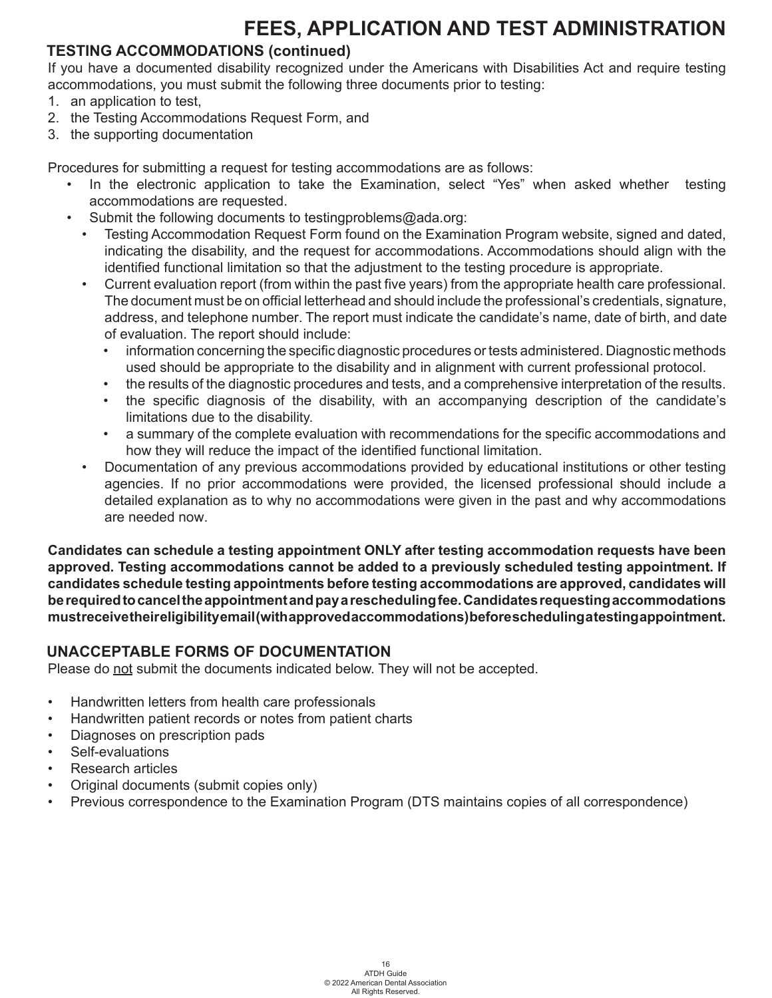#### **TESTING ACCOMMODATIONS (continued)**

If you have a documented disability recognized under the Americans with Disabilities Act and require testing accommodations, you must submit the following three documents prior to testing:

- 1. an application to test,
- 2. the Testing Accommodations Request Form, and
- 3. the supporting documentation

Procedures for submitting a request for testing accommodations are as follows:

- In the electronic application to take the Examination, select "Yes" when asked whether testing accommodations are requested.
- Submit the following documents to testingproblems@ada.org:
	- Testing Accommodation Request Form found on the Examination Program website, signed and dated, indicating the disability, and the request for accommodations. Accommodations should align with the identified functional limitation so that the adjustment to the testing procedure is appropriate.
	- Current evaluation report (from within the past five years) from the appropriate health care professional. The document must be on official letterhead and should include the professional's credentials, signature, address, and telephone number. The report must indicate the candidate's name, date of birth, and date of evaluation. The report should include:
		- information concerning the specific diagnostic procedures or tests administered. Diagnostic methods used should be appropriate to the disability and in alignment with current professional protocol.
		- the results of the diagnostic procedures and tests, and a comprehensive interpretation of the results.
		- the specific diagnosis of the disability, with an accompanying description of the candidate's limitations due to the disability.
		- a summary of the complete evaluation with recommendations for the specific accommodations and how they will reduce the impact of the identified functional limitation.
	- Documentation of any previous accommodations provided by educational institutions or other testing agencies. If no prior accommodations were provided, the licensed professional should include a detailed explanation as to why no accommodations were given in the past and why accommodations are needed now.

**Candidates can schedule a testing appointment ONLY after testing accommodation requests have been approved. Testing accommodations cannot be added to a previously scheduled testing appointment. If candidates schedule testing appointments before testing accommodations are approved, candidates will be required to cancel the appointment and pay a rescheduling fee. Candidates requesting accommodations must receive their eligibility email (with approved accommodations) before scheduling a testing appointment.**

#### **UNACCEPTABLE FORMS OF DOCUMENTATION**

Please do not submit the documents indicated below. They will not be accepted.

- Handwritten letters from health care professionals
- Handwritten patient records or notes from patient charts
- Diagnoses on prescription pads
- Self-evaluations
- Research articles
- Original documents (submit copies only)
- Previous correspondence to the Examination Program (DTS maintains copies of all correspondence)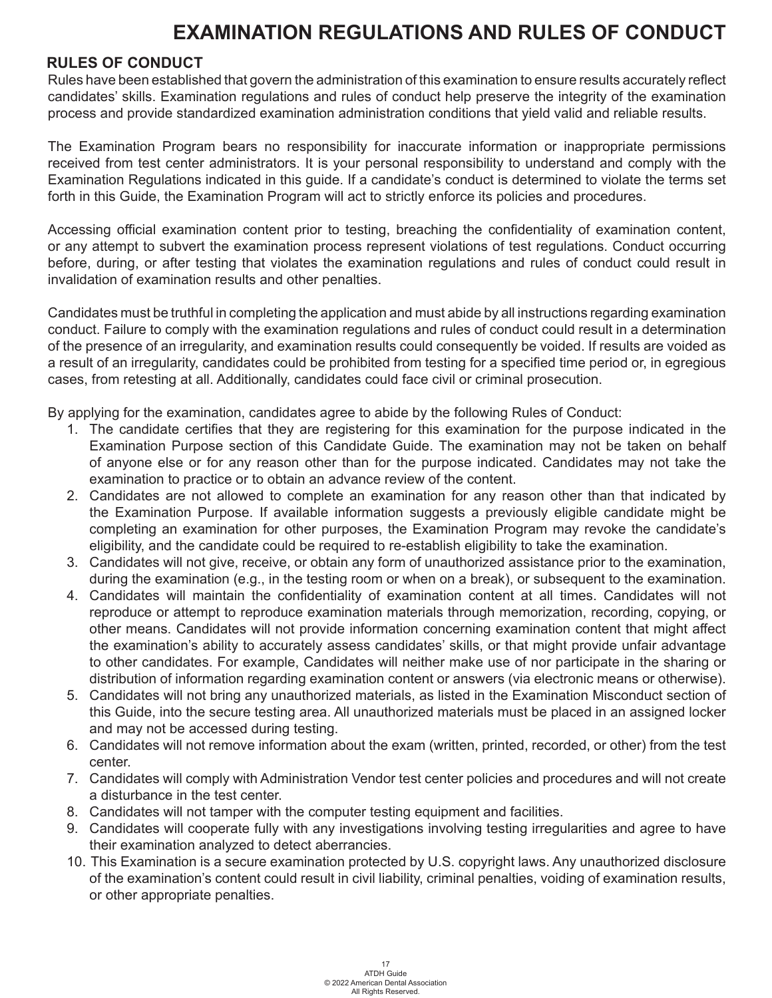#### **RULES OF CONDUCT**

Rules have been established that govern the administration of this examination to ensure results accurately reflect candidates' skills. Examination regulations and rules of conduct help preserve the integrity of the examination process and provide standardized examination administration conditions that yield valid and reliable results.

The Examination Program bears no responsibility for inaccurate information or inappropriate permissions received from test center administrators. It is your personal responsibility to understand and comply with the Examination Regulations indicated in this guide. If a candidate's conduct is determined to violate the terms set forth in this Guide, the Examination Program will act to strictly enforce its policies and procedures.

Accessing official examination content prior to testing, breaching the confidentiality of examination content, or any attempt to subvert the examination process represent violations of test regulations. Conduct occurring before, during, or after testing that violates the examination regulations and rules of conduct could result in invalidation of examination results and other penalties.

Candidates must be truthful in completing the application and must abide by all instructions regarding examination conduct. Failure to comply with the examination regulations and rules of conduct could result in a determination of the presence of an irregularity, and examination results could consequently be voided. If results are voided as a result of an irregularity, candidates could be prohibited from testing for a specified time period or, in egregious cases, from retesting at all. Additionally, candidates could face civil or criminal prosecution.

By applying for the examination, candidates agree to abide by the following Rules of Conduct:

- 1. The candidate certifies that they are registering for this examination for the purpose indicated in the Examination Purpose section of this Candidate Guide. The examination may not be taken on behalf of anyone else or for any reason other than for the purpose indicated. Candidates may not take the examination to practice or to obtain an advance review of the content.
- 2. Candidates are not allowed to complete an examination for any reason other than that indicated by the Examination Purpose. If available information suggests a previously eligible candidate might be completing an examination for other purposes, the Examination Program may revoke the candidate's eligibility, and the candidate could be required to re-establish eligibility to take the examination.
- 3. Candidates will not give, receive, or obtain any form of unauthorized assistance prior to the examination, during the examination (e.g., in the testing room or when on a break), or subsequent to the examination.
- 4. Candidates will maintain the confidentiality of examination content at all times. Candidates will not reproduce or attempt to reproduce examination materials through memorization, recording, copying, or other means. Candidates will not provide information concerning examination content that might affect the examination's ability to accurately assess candidates' skills, or that might provide unfair advantage to other candidates. For example, Candidates will neither make use of nor participate in the sharing or distribution of information regarding examination content or answers (via electronic means or otherwise).
- 5. Candidates will not bring any unauthorized materials, as listed in the Examination Misconduct section of this Guide, into the secure testing area. All unauthorized materials must be placed in an assigned locker and may not be accessed during testing.
- 6. Candidates will not remove information about the exam (written, printed, recorded, or other) from the test center.
- 7. Candidates will comply with Administration Vendor test center policies and procedures and will not create a disturbance in the test center.
- 8. Candidates will not tamper with the computer testing equipment and facilities.
- 9. Candidates will cooperate fully with any investigations involving testing irregularities and agree to have their examination analyzed to detect aberrancies.
- 10. This Examination is a secure examination protected by U.S. copyright laws. Any unauthorized disclosure of the examination's content could result in civil liability, criminal penalties, voiding of examination results, or other appropriate penalties.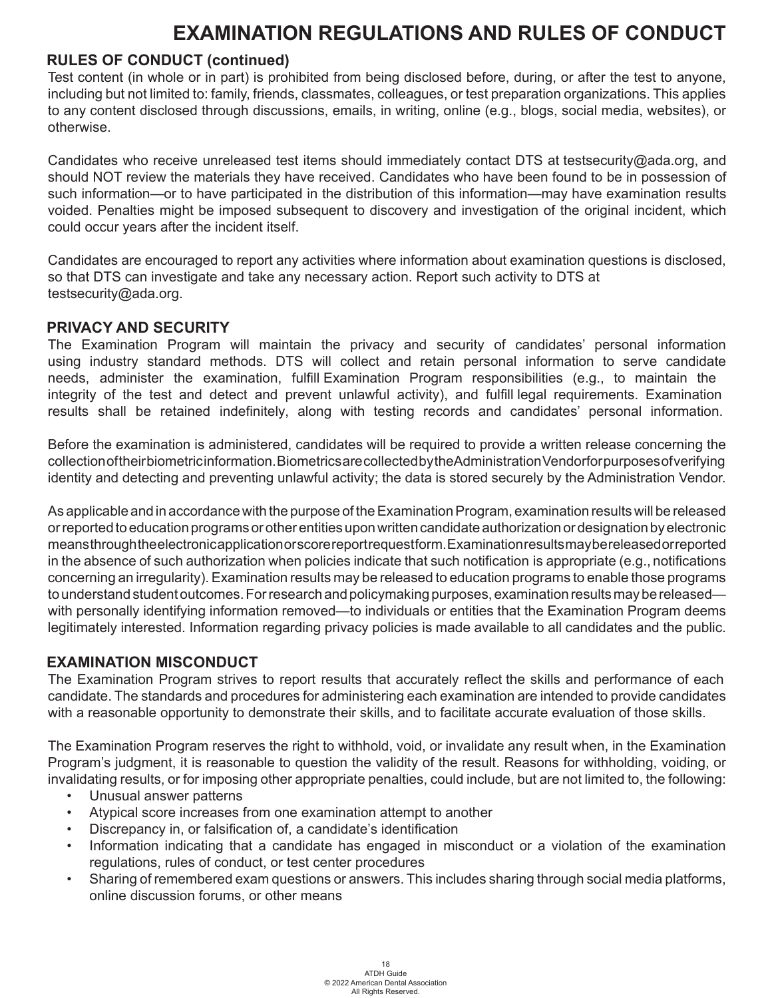#### **RULES OF CONDUCT (continued)**

Test content (in whole or in part) is prohibited from being disclosed before, during, or after the test to anyone, including but not limited to: family, friends, classmates, colleagues, or test preparation organizations. This applies to any content disclosed through discussions, emails, in writing, online (e.g., blogs, social media, websites), or otherwise.

Candidates who receive unreleased test items should immediately contact DTS at testsecurity@ada.org, and should NOT review the materials they have received. Candidates who have been found to be in possession of such information—or to have participated in the distribution of this information—may have examination results voided. Penalties might be imposed subsequent to discovery and investigation of the original incident, which could occur years after the incident itself.

Candidates are encouraged to report any activities where information about examination questions is disclosed, so that DTS can investigate and take any necessary action. Report such activity to DTS at testsecurity@ada.org.

#### **PRIVACY AND SECURITY**

The Examination Program will maintain the privacy and security of candidates' personal information using industry standard methods. DTS will collect and retain personal information to serve candidate needs, administer the examination, fulfill Examination Program responsibilities (e.g., to maintain the integrity of the test and detect and prevent unlawful activity), and fulfill legal requirements. Examination results shall be retained indefinitely, along with testing records and candidates' personal information.

Before the examination is administered, candidates will be required to provide a written release concerning the collection of their biometric information. Biometrics are collected by the Administration Vendorfor purposes of verifying identity and detecting and preventing unlawful activity; the data is stored securely by the Administration Vendor.

As applicable and in accordance with the purpose of the Examination Program, examination results will be released or reported to education programs or other entities uponwritten candidate authorization or designation by electronic meansthroughtheelectronicapplicationorscorereportrequestform.Examinationresultsmaybereleasedorreported in the absence of such authorization when policies indicate that such notification is appropriate (e.g., notifications concerning an irregularity). Examination results may be released to education programs to enable those programs to understand student outcomes. For research and policymaking purposes, examination results may be released with personally identifying information removed—to individuals or entities that the Examination Program deems legitimately interested. Information regarding privacy policies is made available to all candidates and the public.

#### **EXAMINATION MISCONDUCT**

The Examination Program strives to report results that accurately reflect the skills and performance of each candidate. The standards and procedures for administering each examination are intended to provide candidates with a reasonable opportunity to demonstrate their skills, and to facilitate accurate evaluation of those skills.

The Examination Program reserves the right to withhold, void, or invalidate any result when, in the Examination Program's judgment, it is reasonable to question the validity of the result. Reasons for withholding, voiding, or invalidating results, or for imposing other appropriate penalties, could include, but are not limited to, the following:

- Unusual answer patterns
- Atypical score increases from one examination attempt to another
- Discrepancy in, or falsification of, a candidate's identification
- Information indicating that a candidate has engaged in misconduct or a violation of the examination regulations, rules of conduct, or test center procedures
- Sharing of remembered exam questions or answers. This includes sharing through social media platforms, online discussion forums, or other means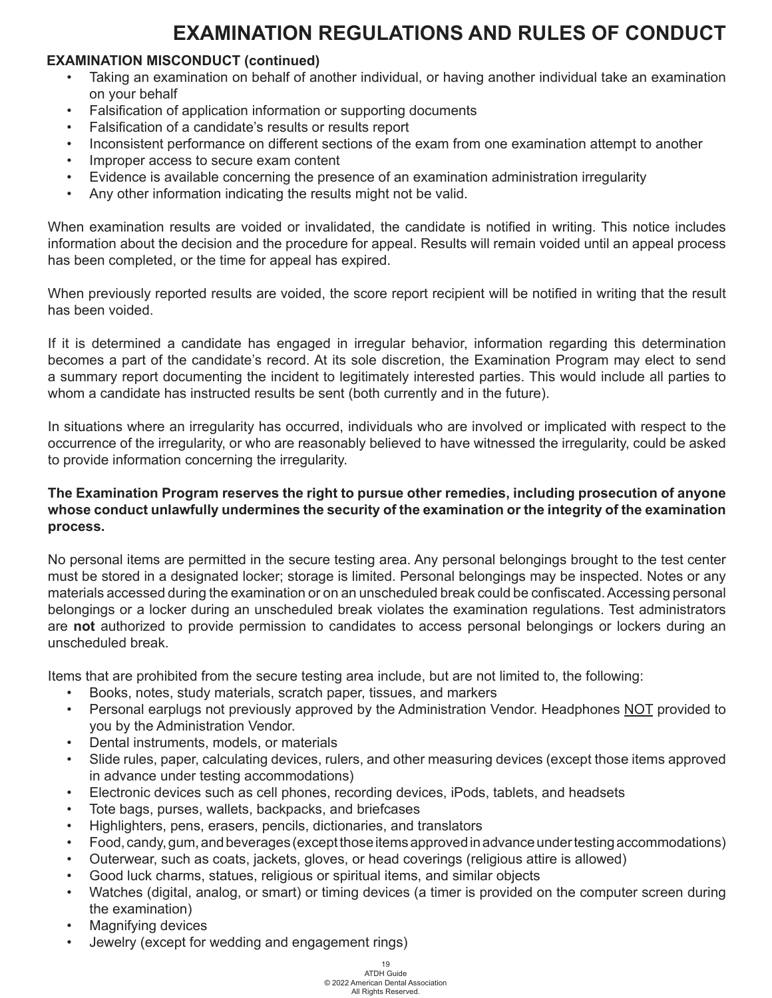#### **EXAMINATION MISCONDUCT (continued)**

- Taking an examination on behalf of another individual, or having another individual take an examination on your behalf
- Falsification of application information or supporting documents
- Falsification of a candidate's results or results report
- Inconsistent performance on different sections of the exam from one examination attempt to another
- Improper access to secure exam content
- Evidence is available concerning the presence of an examination administration irregularity
- Any other information indicating the results might not be valid.

When examination results are voided or invalidated, the candidate is notified in writing. This notice includes information about the decision and the procedure for appeal. Results will remain voided until an appeal process has been completed, or the time for appeal has expired.

When previously reported results are voided, the score report recipient will be notified in writing that the result has been voided.

If it is determined a candidate has engaged in irregular behavior, information regarding this determination becomes a part of the candidate's record. At its sole discretion, the Examination Program may elect to send a summary report documenting the incident to legitimately interested parties. This would include all parties to whom a candidate has instructed results be sent (both currently and in the future).

In situations where an irregularity has occurred, individuals who are involved or implicated with respect to the occurrence of the irregularity, or who are reasonably believed to have witnessed the irregularity, could be asked to provide information concerning the irregularity.

#### **The Examination Program reserves the right to pursue other remedies, including prosecution of anyone whose conduct unlawfully undermines the security of the examination or the integrity of the examination process.**

No personal items are permitted in the secure testing area. Any personal belongings brought to the test center must be stored in a designated locker; storage is limited. Personal belongings may be inspected. Notes or any materials accessed during the examination or on an unscheduled break could be confiscated. Accessing personal belongings or a locker during an unscheduled break violates the examination regulations. Test administrators are **not** authorized to provide permission to candidates to access personal belongings or lockers during an unscheduled break.

Items that are prohibited from the secure testing area include, but are not limited to, the following:

- Books, notes, study materials, scratch paper, tissues, and markers
- Personal earplugs not previously approved by the Administration Vendor. Headphones NOT provided to you by the Administration Vendor.
- Dental instruments, models, or materials
- Slide rules, paper, calculating devices, rulers, and other measuring devices (except those items approved in advance under testing accommodations)
- Electronic devices such as cell phones, recording devices, iPods, tablets, and headsets
- Tote bags, purses, wallets, backpacks, and briefcases
- Highlighters, pens, erasers, pencils, dictionaries, and translators
- Food, candy, gum, and beverages (except those items approved in advance under testing accommodations)
- Outerwear, such as coats, jackets, gloves, or head coverings (religious attire is allowed)
- Good luck charms, statues, religious or spiritual items, and similar objects
- Watches (digital, analog, or smart) or timing devices (a timer is provided on the computer screen during the examination)
- Magnifying devices
- Jewelry (except for wedding and engagement rings)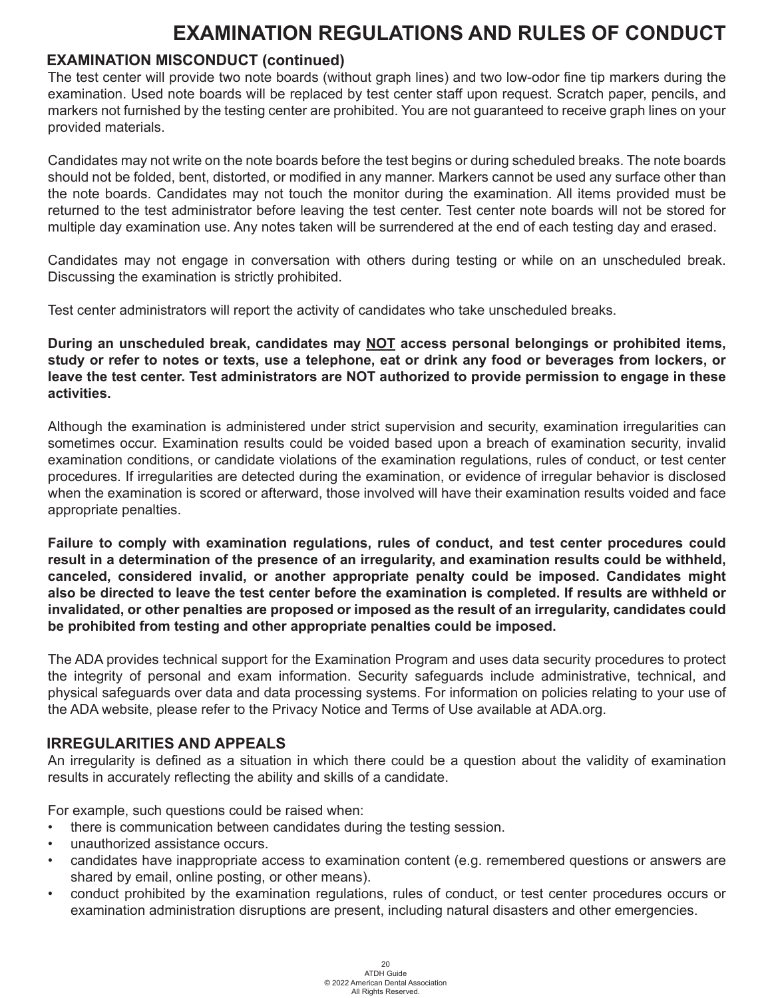#### **EXAMINATION MISCONDUCT (continued)**

The test center will provide two note boards (without graph lines) and two low-odor fine tip markers during the examination. Used note boards will be replaced by test center staff upon request. Scratch paper, pencils, and markers not furnished by the testing center are prohibited. You are not guaranteed to receive graph lines on your provided materials.

Candidates may not write on the note boards before the test begins or during scheduled breaks. The note boards should not be folded, bent, distorted, or modified in any manner. Markers cannot be used any surface other than the note boards. Candidates may not touch the monitor during the examination. All items provided must be returned to the test administrator before leaving the test center. Test center note boards will not be stored for multiple day examination use. Any notes taken will be surrendered at the end of each testing day and erased.

Candidates may not engage in conversation with others during testing or while on an unscheduled break. Discussing the examination is strictly prohibited.

Test center administrators will report the activity of candidates who take unscheduled breaks.

**During an unscheduled break, candidates may NOT access personal belongings or prohibited items, study or refer to notes or texts, use a telephone, eat or drink any food or beverages from lockers, or leave the test center. Test administrators are NOT authorized to provide permission to engage in these activities.**

Although the examination is administered under strict supervision and security, examination irregularities can sometimes occur. Examination results could be voided based upon a breach of examination security, invalid examination conditions, or candidate violations of the examination regulations, rules of conduct, or test center procedures. If irregularities are detected during the examination, or evidence of irregular behavior is disclosed when the examination is scored or afterward, those involved will have their examination results voided and face appropriate penalties.

**Failure to comply with examination regulations, rules of conduct, and test center procedures could result in a determination of the presence of an irregularity, and examination results could be withheld, canceled, considered invalid, or another appropriate penalty could be imposed. Candidates might also be directed to leave the test center before the examination is completed. If results are withheld or invalidated, or other penalties are proposed or imposed as the result of an irregularity, candidates could be prohibited from testing and other appropriate penalties could be imposed.**

The ADA provides technical support for the Examination Program and uses data security procedures to protect the integrity of personal and exam information. Security safeguards include administrative, technical, and physical safeguards over data and data processing systems. For information on policies relating to your use of the ADA website, please refer to the Privacy Notice and Terms of Use available at ADA.org.

#### **IRREGULARITIES AND APPEALS**

An irregularity is defined as a situation in which there could be a question about the validity of examination results in accurately reflecting the ability and skills of a candidate.

For example, such questions could be raised when:

- there is communication between candidates during the testing session.
- unauthorized assistance occurs.
- candidates have inappropriate access to examination content (e.g. remembered questions or answers are shared by email, online posting, or other means).
- conduct prohibited by the examination regulations, rules of conduct, or test center procedures occurs or examination administration disruptions are present, including natural disasters and other emergencies.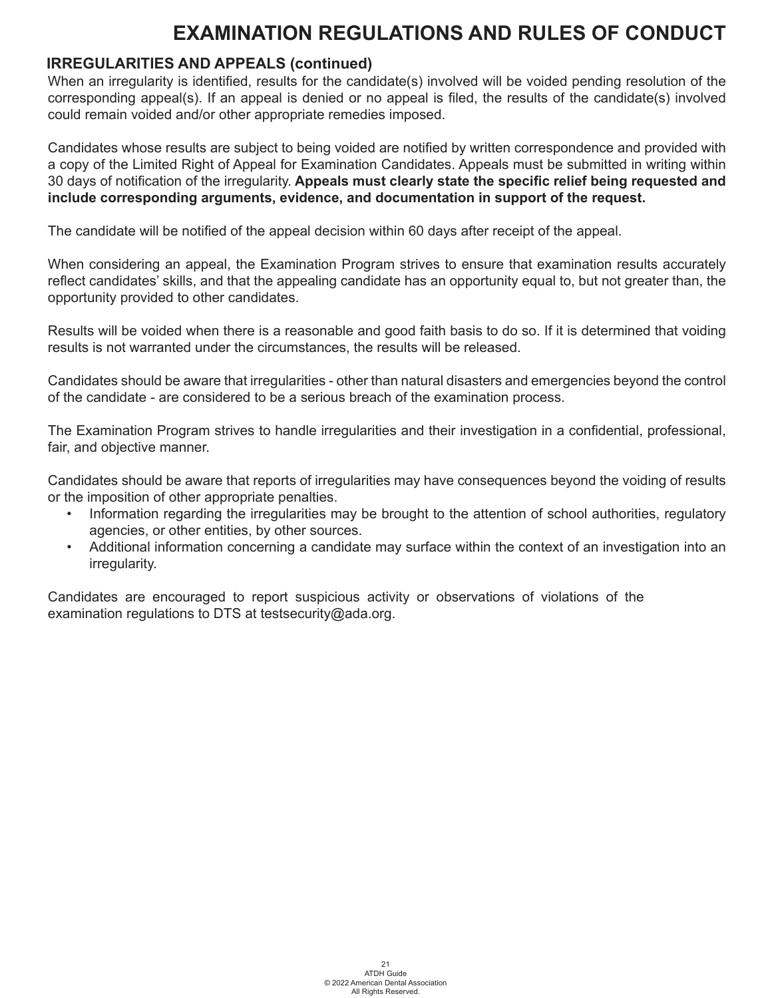#### **IRREGULARITIES AND APPEALS (continued)**

When an irregularity is identified, results for the candidate(s) involved will be voided pending resolution of the corresponding appeal(s). If an appeal is denied or no appeal is filed, the results of the candidate(s) involved could remain voided and/or other appropriate remedies imposed.

Candidates whose results are subject to being voided are notified by written correspondence and provided with a copy of the Limited Right of Appeal for Examination Candidates. Appeals must be submitted in writing within 30 days of notification of the irregularity. **Appeals must clearly state the specific relief being requested and include corresponding arguments, evidence, and documentation in support of the request.** 

The candidate will be notified of the appeal decision within 60 days after receipt of the appeal.

When considering an appeal, the Examination Program strives to ensure that examination results accurately reflect candidates' skills, and that the appealing candidate has an opportunity equal to, but not greater than, the opportunity provided to other candidates.

Results will be voided when there is a reasonable and good faith basis to do so. If it is determined that voiding results is not warranted under the circumstances, the results will be released.

Candidates should be aware that irregularities - other than natural disasters and emergencies beyond the control of the candidate - are considered to be a serious breach of the examination process.

The Examination Program strives to handle irregularities and their investigation in a confidential, professional, fair, and objective manner.

Candidates should be aware that reports of irregularities may have consequences beyond the voiding of results or the imposition of other appropriate penalties.

- Information regarding the irregularities may be brought to the attention of school authorities, regulatory agencies, or other entities, by other sources.
- Additional information concerning a candidate may surface within the context of an investigation into an irregularity.

Candidates are encouraged to report suspicious activity or observations of violations of the examination regulations to DTS at testsecurity@ada.org.